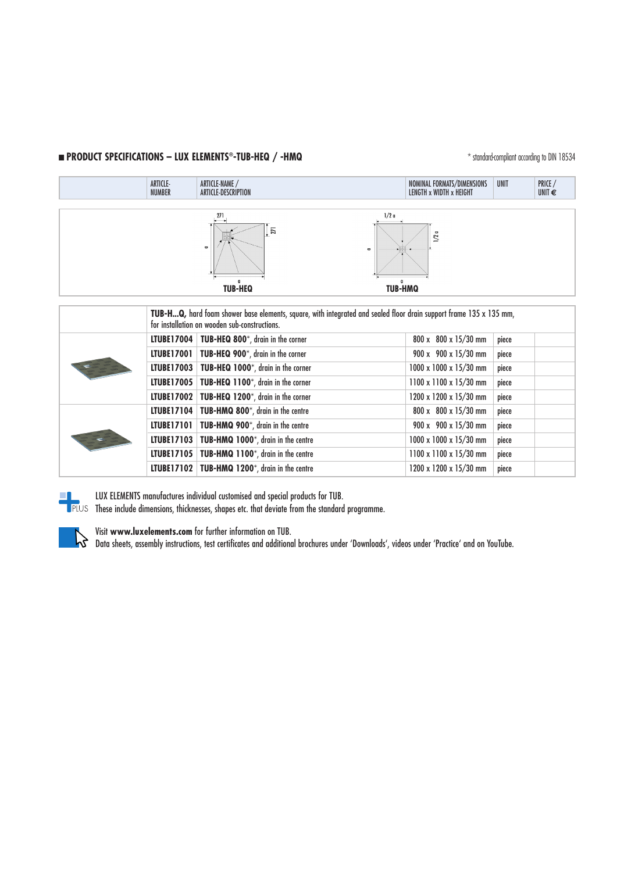## **n PRODUCT SPECIFICATIONS – LUX ELEMENTS<sup>®</sup>-TUB-HEQ /-HMQ** \* \* standard-compliant according to DIN 18534



|  | TUB-HQ, hard foam shower base elements, square, with integrated and sealed floor drain support frame 135 x 135 mm,<br>for installation on wooden sub-constructions. |                                                 |                                    |       |  |
|--|---------------------------------------------------------------------------------------------------------------------------------------------------------------------|-------------------------------------------------|------------------------------------|-------|--|
|  |                                                                                                                                                                     | LTUBE17004   TUB-HEQ 800*, drain in the corner  | 800 x 800 x 15/30 mm               | piece |  |
|  |                                                                                                                                                                     | LTUBE17001   TUB-HEQ 900*, drain in the corner  | $900 \times 900 \times 15/30$ mm   | piece |  |
|  |                                                                                                                                                                     | LTUBE17003   TUB-HEQ 1000*, drain in the corner | $1000 \times 1000 \times 15/30$ mm | piece |  |
|  |                                                                                                                                                                     | LTUBE17005   TUB-HEQ 1100*, drain in the corner | 1100 x 1100 x 15/30 mm             | piece |  |
|  |                                                                                                                                                                     | LTUBE17002   TUB-HEQ 1200*, drain in the corner | 1200 x 1200 x 15/30 mm             | piece |  |
|  |                                                                                                                                                                     | LTUBE17104   TUB-HMQ 800*, drain in the centre  | $800 \times 800 \times 15/30$ mm   | piece |  |
|  |                                                                                                                                                                     | LTUBE17101   TUB-HMQ 900*, drain in the centre  | 900 x 900 x 15/30 mm               | piece |  |
|  |                                                                                                                                                                     | LTUBE17103   TUB-HMQ 1000*, drain in the centre | 1000 x 1000 x 15/30 mm             | piece |  |
|  |                                                                                                                                                                     | LTUBE17105   TUB-HMQ 1100*, drain in the centre | 1100 x 1100 x 15/30 mm             | piece |  |
|  |                                                                                                                                                                     | LTUBE17102   TUB-HMQ 1200*, drain in the centre | 1200 x 1200 x 15/30 mm             | piece |  |



LUX ELEMENTS manufactures individual customised and special products for TUB.

These include dimensions, thicknesses, shapes etc. that deviate from the standard programme.



Visit **www.luxelements.com** for further information on TUB.

Data sheets, assembly instructions, test certificates and additional brochures under 'Downloads', videos under 'Practice' and on YouTube.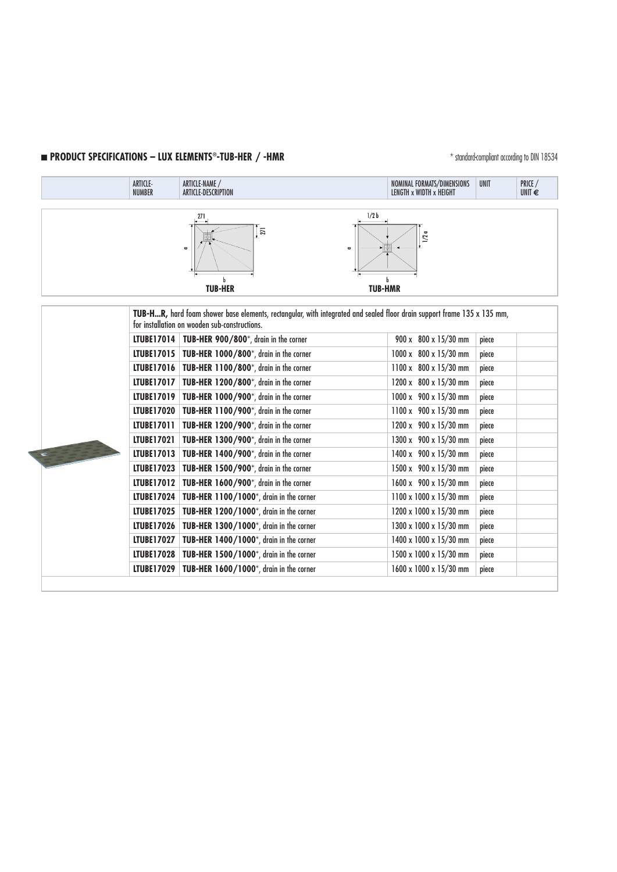# **n PRODUCT SPECIFICATIONS – LUX ELEMENTS®-TUB-HER / -HMR**  $\blacksquare$  **Examples 10 and 200 and 3534**

|                                                                                                                                                                          | ARTICLE-<br><b>NUMBER</b> | ARTICLE-NAME /<br>ARTICLE-DESCRIPTION                        | NOMINAL FORMATS/DIMENSIONS<br>LENGTH x WIDTH x HEIGHT | <b>UNIT</b> | PRICE /<br>UNIT $\epsilon$ |  |  |  |
|--------------------------------------------------------------------------------------------------------------------------------------------------------------------------|---------------------------|--------------------------------------------------------------|-------------------------------------------------------|-------------|----------------------------|--|--|--|
|                                                                                                                                                                          |                           | 271<br>271<br>$\qquad \qquad \blacksquare$<br><b>TUB-HER</b> | 1/2 b<br>$1/2 a$<br>U<br><b>TUB-HMR</b>               |             |                            |  |  |  |
| TUB-HR, hard foam shower base elements, rectangular, with integrated and sealed floor drain support frame 135 x 135 mm,<br>for installation on wooden sub-constructions. |                           |                                                              |                                                       |             |                            |  |  |  |
|                                                                                                                                                                          |                           | LTUBE17014   TUB-HER 900/800*, drain in the corner           | 900 x 800 x 15/30 mm                                  | piece       |                            |  |  |  |
|                                                                                                                                                                          |                           | LTUBE17015   TUB-HER 1000/800*, drain in the corner          | 1000 x 800 x 15/30 mm                                 | piece       |                            |  |  |  |
|                                                                                                                                                                          |                           | LTUBE17016   TUB-HER 1100/800*, drain in the corner          | 1100 x 800 x 15/30 mm                                 | piece       |                            |  |  |  |
|                                                                                                                                                                          |                           | LTUBE17017   TUB-HER 1200/800*, drain in the corner          | 1200 x 800 x 15/30 mm                                 | piece       |                            |  |  |  |
|                                                                                                                                                                          | LTUBE17019                | TUB-HER 1000/900*, drain in the corner                       | 1000 x 900 x 15/30 mm                                 | piece       |                            |  |  |  |
|                                                                                                                                                                          |                           | LTUBE17020   TUB-HER 1100/900*, drain in the corner          | 1100 x 900 x 15/30 mm                                 | piece       |                            |  |  |  |
|                                                                                                                                                                          | LTUBE17011                | TUB-HER 1200/900*, drain in the corner                       | 1200 x 900 x 15/30 mm                                 | piece       |                            |  |  |  |
|                                                                                                                                                                          | <b>LTUBE17021</b>         | TUB-HER 1300/900*, drain in the corner                       | 1300 x 900 x 15/30 mm                                 | piece       |                            |  |  |  |
|                                                                                                                                                                          |                           | LTUBE17013   TUB-HER 1400/900*, drain in the corner          | 1400 x 900 x 15/30 mm                                 | piece       |                            |  |  |  |
|                                                                                                                                                                          | LTUBE17023                | TUB-HER 1500/900*, drain in the corner                       | 1500 x 900 x 15/30 mm                                 | piece       |                            |  |  |  |
|                                                                                                                                                                          | LTUBE17012                | TUB-HER 1600/900*, drain in the corner                       | 1600 x 900 x 15/30 mm                                 | piece       |                            |  |  |  |
|                                                                                                                                                                          | LTUBE17024                | TUB-HER 1100/1000*, drain in the corner                      | 1100 x 1000 x 15/30 mm                                | piece       |                            |  |  |  |
|                                                                                                                                                                          | LTUBE17025                | TUB-HER 1200/1000*, drain in the corner                      | 1200 x 1000 x 15/30 mm                                | piece       |                            |  |  |  |
|                                                                                                                                                                          |                           | LTUBE17026   TUB-HER 1300/1000*, drain in the corner         | 1300 x 1000 x 15/30 mm                                | piece       |                            |  |  |  |
|                                                                                                                                                                          | <b>LTUBE17027</b>         | TUB-HER 1400/1000*, drain in the corner                      | 1400 x 1000 x 15/30 mm                                | piece       |                            |  |  |  |
|                                                                                                                                                                          | LTUBE17028                | TUB-HER 1500/1000*, drain in the corner                      | 1500 x 1000 x 15/30 mm                                | piece       |                            |  |  |  |
|                                                                                                                                                                          | <b>LTUBE17029</b>         | TUB-HER 1600/1000*, drain in the corner                      | 1600 x 1000 x 15/30 mm                                | piece       |                            |  |  |  |